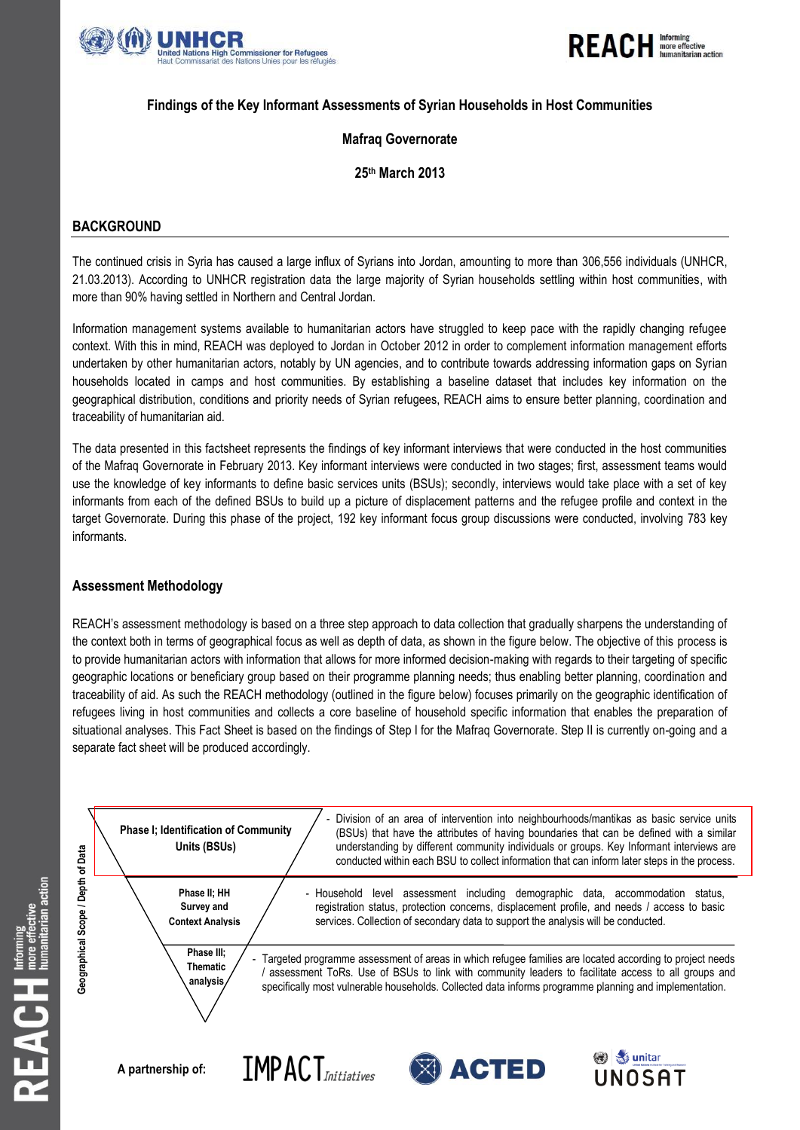



## **Findings of the Key Informant Assessments of Syrian Households in Host Communities**

## **Mafraq Governorate**

# **25th March 2013**

# **BACKGROUND**

The continued crisis in Syria has caused a large influx of Syrians into Jordan, amounting to more than 306,556 individuals (UNHCR, 21.03.2013). According to UNHCR registration data the large majority of Syrian households settling within host communities, with more than 90% having settled in Northern and Central Jordan.

Information management systems available to humanitarian actors have struggled to keep pace with the rapidly changing refugee context. With this in mind, REACH was deployed to Jordan in October 2012 in order to complement information management efforts undertaken by other humanitarian actors, notably by UN agencies, and to contribute towards addressing information gaps on Syrian households located in camps and host communities. By establishing a baseline dataset that includes key information on the geographical distribution, conditions and priority needs of Syrian refugees, REACH aims to ensure better planning, coordination and traceability of humanitarian aid.

The data presented in this factsheet represents the findings of key informant interviews that were conducted in the host communities of the Mafraq Governorate in February 2013. Key informant interviews were conducted in two stages; first, assessment teams would use the knowledge of key informants to define basic services units (BSUs); secondly, interviews would take place with a set of key informants from each of the defined BSUs to build up a picture of displacement patterns and the refugee profile and context in the target Governorate. During this phase of the project, 192 key informant focus group discussions were conducted, involving 783 key informants.

### **Assessment Methodology**

REACH's assessment methodology is based on a three step approach to data collection that gradually sharpens the understanding of the context both in terms of geographical focus as well as depth of data, as shown in the figure below. The objective of this process is to provide humanitarian actors with information that allows for more informed decision-making with regards to their targeting of specific geographic locations or beneficiary group based on their programme planning needs; thus enabling better planning, coordination and traceability of aid. As such the REACH methodology (outlined in the figure below) focuses primarily on the geographic identification of refugees living in host communities and collects a core baseline of household specific information that enables the preparation of situational analyses. This Fact Sheet is based on the findings of Step I for the Mafraq Governorate. Step II is currently on-going and a separate fact sheet will be produced accordingly.

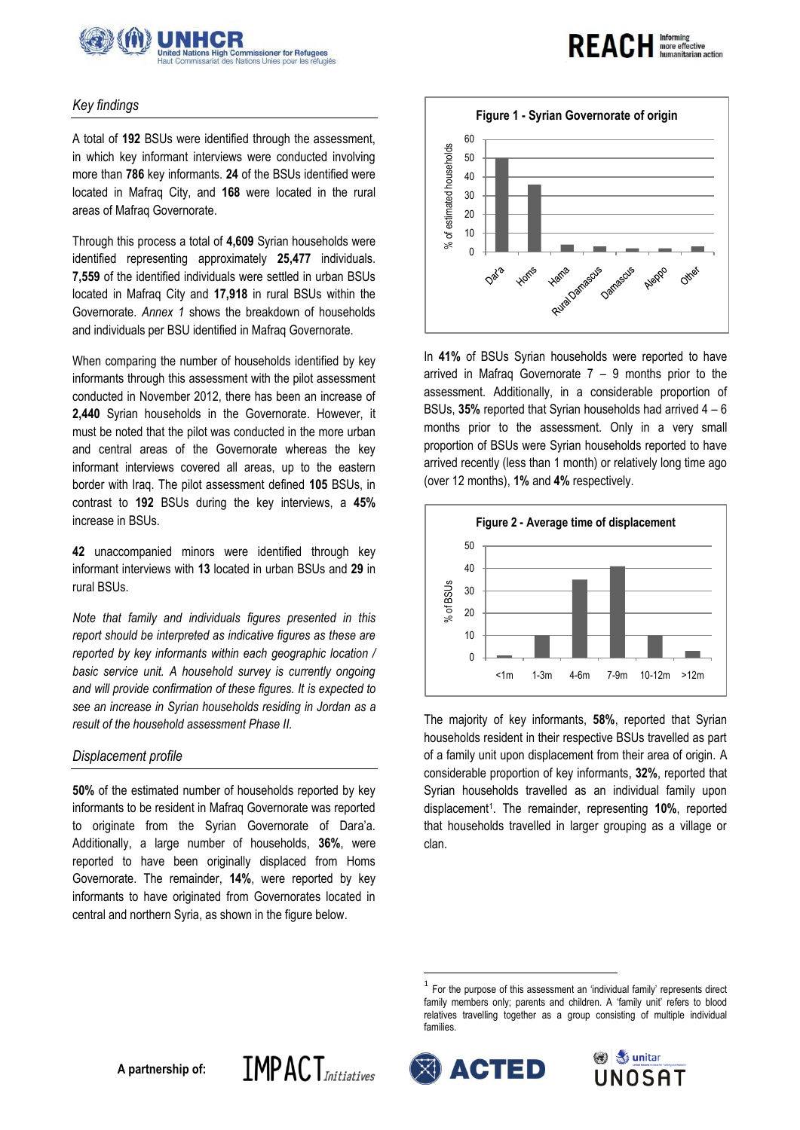

### *Key findings*

A total of **192** BSUs were identified through the assessment, in which key informant interviews were conducted involving more than **786** key informants. **24** of the BSUs identified were located in Mafraq City, and **168** were located in the rural areas of Mafraq Governorate.

Through this process a total of **4,609** Syrian households were identified representing approximately **25,477** individuals. **7,559** of the identified individuals were settled in urban BSUs located in Mafraq City and **17,918** in rural BSUs within the Governorate. *Annex 1* shows the breakdown of households and individuals per BSU identified in Mafraq Governorate.

When comparing the number of households identified by key informants through this assessment with the pilot assessment conducted in November 2012, there has been an increase of **2,440** Syrian households in the Governorate. However, it must be noted that the pilot was conducted in the more urban and central areas of the Governorate whereas the key informant interviews covered all areas, up to the eastern border with Iraq. The pilot assessment defined **105** BSUs, in contrast to **192** BSUs during the key interviews, a **45%** increase in BSUs.

**42** unaccompanied minors were identified through key informant interviews with **13** located in urban BSUs and **29** in rural BSUs.

*Note that family and individuals figures presented in this report should be interpreted as indicative figures as these are reported by key informants within each geographic location /*  basic service unit. A household survey is currently ongoing *and will provide confirmation of these figures. It is expected to see an increase in Syrian households residing in Jordan as a result of the household assessment Phase II.* 

### *Displacement profile*

**50%** of the estimated number of households reported by key informants to be resident in Mafraq Governorate was reported to originate from the Syrian Governorate of Dara'a. Additionally, a large number of households, **36%**, were reported to have been originally displaced from Homs Governorate. The remainder, **14%**, were reported by key informants to have originated from Governorates located in central and northern Syria, as shown in the figure below.

**IMPACT**Initiatives



**REACH Informing** 

In **41%** of BSUs Syrian households were reported to have arrived in Mafraq Governorate  $7 - 9$  months prior to the assessment. Additionally, in a considerable proportion of BSUs, **35%** reported that Syrian households had arrived 4 – 6 months prior to the assessment. Only in a very small proportion of BSUs were Syrian households reported to have arrived recently (less than 1 month) or relatively long time ago (over 12 months), **1%** and **4%** respectively.



The majority of key informants, **58%**, reported that Syrian households resident in their respective BSUs travelled as part of a family unit upon displacement from their area of origin. A considerable proportion of key informants, **32%**, reported that Syrian households travelled as an individual family upon displacement<sup>1</sup>. The remainder, representing **10%**, reported that households travelled in larger grouping as a village or clan.

<sup>1</sup> For the purpose of this assessment an 'individual family' represents direct family members only; parents and children. A 'family unit' refers to blood relatives travelling together as a group consisting of multiple individual families.



1

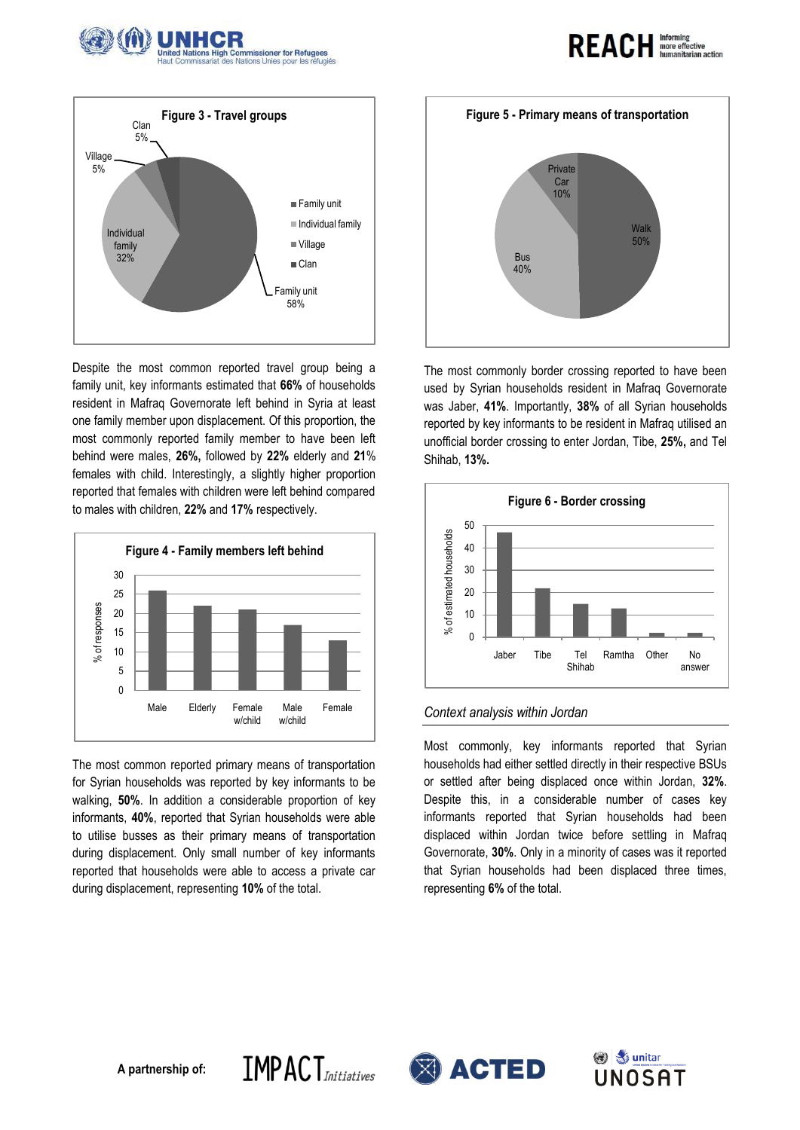



Despite the most common reported travel group being a family unit, key informants estimated that **66%** of households resident in Mafraq Governorate left behind in Syria at least one family member upon displacement. Of this proportion, the most commonly reported family member to have been left behind were males, **26%,** followed by **22%** elderly and **21**% females with child. Interestingly, a slightly higher proportion reported that females with children were left behind compared to males with children, **22%** and **17%** respectively.



The most common reported primary means of transportation for Syrian households was reported by key informants to be walking, **50%**. In addition a considerable proportion of key informants, **40%**, reported that Syrian households were able to utilise busses as their primary means of transportation during displacement. Only small number of key informants reported that households were able to access a private car during displacement, representing **10%** of the total.



**REACH Informing** 

The most commonly border crossing reported to have been used by Syrian households resident in Mafraq Governorate was Jaber, **41%**. Importantly, **38%** of all Syrian households reported by key informants to be resident in Mafraq utilised an unofficial border crossing to enter Jordan, Tibe, **25%,** and Tel Shihab, **13%.**



#### *Context analysis within Jordan*

Most commonly, key informants reported that Syrian households had either settled directly in their respective BSUs or settled after being displaced once within Jordan, **32%**. Despite this, in a considerable number of cases key informants reported that Syrian households had been displaced within Jordan twice before settling in Mafraq Governorate, **30%**. Only in a minority of cases was it reported that Syrian households had been displaced three times, representing **6%** of the total.





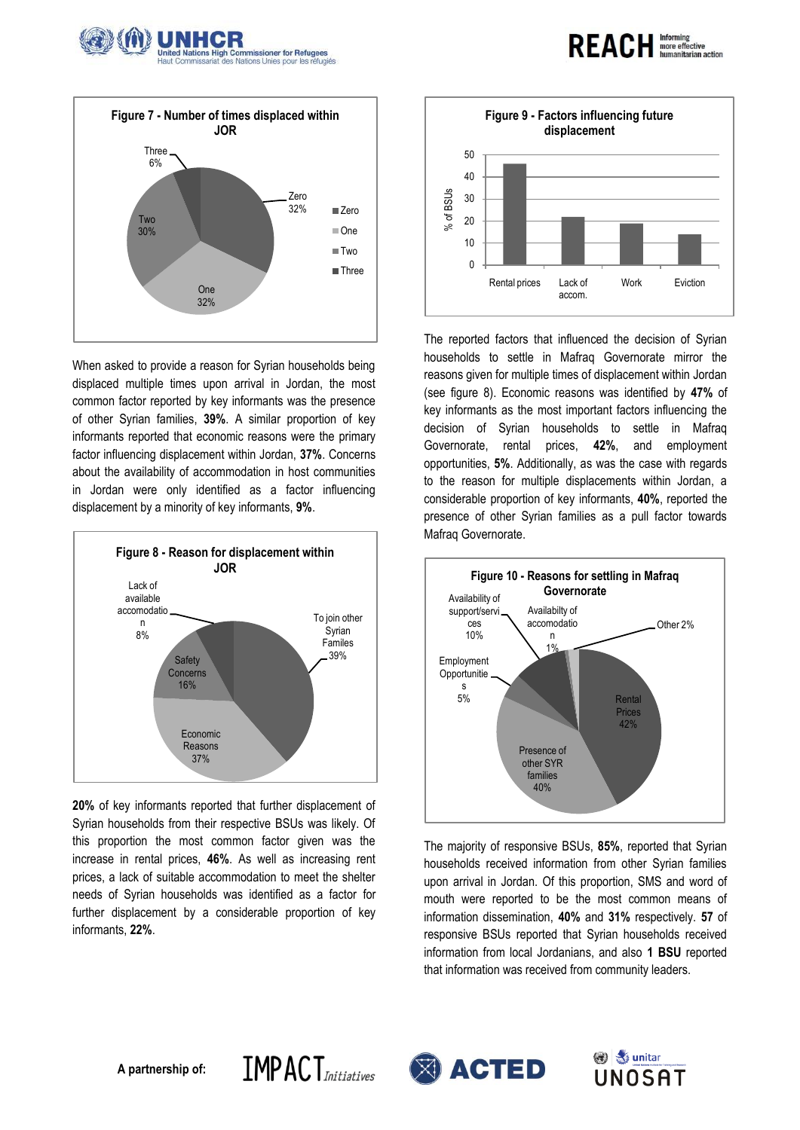



When asked to provide a reason for Syrian households being displaced multiple times upon arrival in Jordan, the most common factor reported by key informants was the presence of other Syrian families, **39%**. A similar proportion of key informants reported that economic reasons were the primary factor influencing displacement within Jordan, **37%**. Concerns about the availability of accommodation in host communities in Jordan were only identified as a factor influencing displacement by a minority of key informants, **9%**.



**20%** of key informants reported that further displacement of Syrian households from their respective BSUs was likely. Of this proportion the most common factor given was the increase in rental prices, **46%**. As well as increasing rent prices, a lack of suitable accommodation to meet the shelter needs of Syrian households was identified as a factor for further displacement by a considerable proportion of key informants, **22%**.



**REACH** Informing

umanitarian action

The reported factors that influenced the decision of Syrian households to settle in Mafraq Governorate mirror the reasons given for multiple times of displacement within Jordan (see figure 8). Economic reasons was identified by **47%** of key informants as the most important factors influencing the decision of Syrian households to settle in Mafraq Governorate, rental prices, **42%**, and employment opportunities, **5%**. Additionally, as was the case with regards to the reason for multiple displacements within Jordan, a considerable proportion of key informants, **40%**, reported the presence of other Syrian families as a pull factor towards Mafraq Governorate.



The majority of responsive BSUs, **85%**, reported that Syrian households received information from other Syrian families upon arrival in Jordan. Of this proportion, SMS and word of mouth were reported to be the most common means of information dissemination, **40%** and **31%** respectively. **57** of responsive BSUs reported that Syrian households received information from local Jordanians, and also **1 BSU** reported that information was received from community leaders.



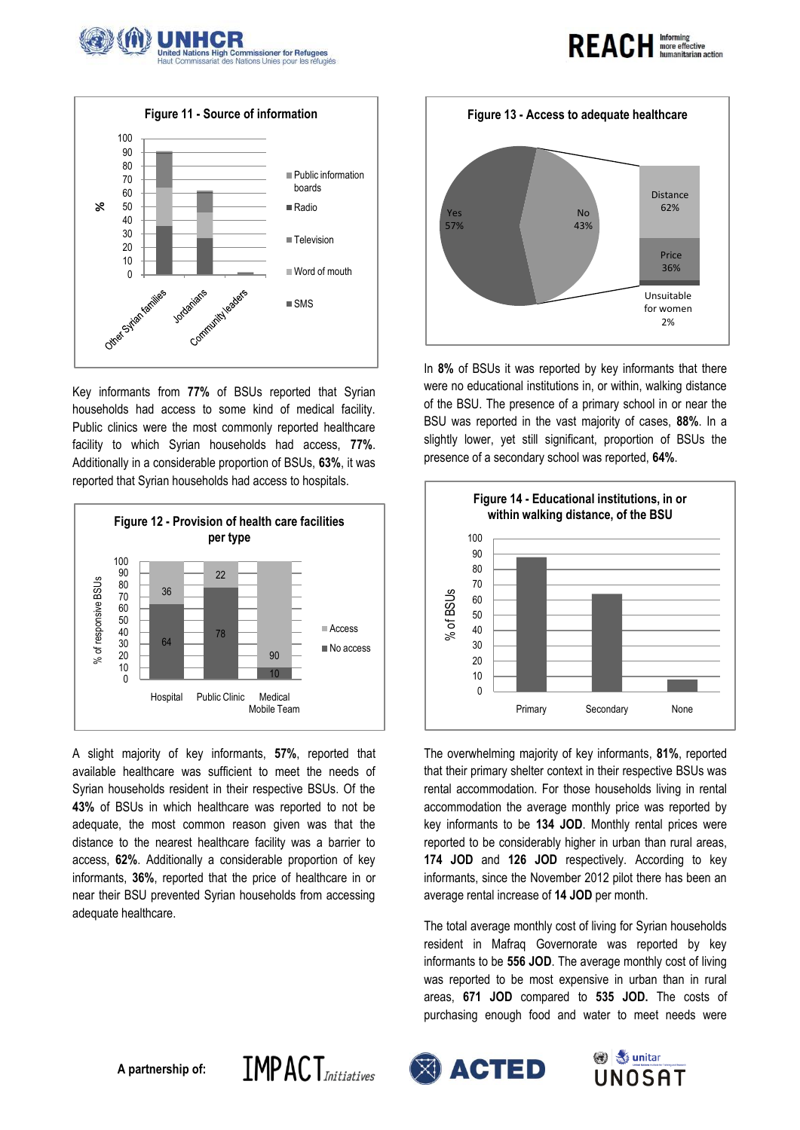



Key informants from **77%** of BSUs reported that Syrian households had access to some kind of medical facility. Public clinics were the most commonly reported healthcare facility to which Syrian households had access, **77%**. Additionally in a considerable proportion of BSUs, **63%**, it was reported that Syrian households had access to hospitals.



A slight majority of key informants, **57%**, reported that available healthcare was sufficient to meet the needs of Syrian households resident in their respective BSUs. Of the **43%** of BSUs in which healthcare was reported to not be adequate, the most common reason given was that the distance to the nearest healthcare facility was a barrier to access, **62%**. Additionally a considerable proportion of key informants, **36%**, reported that the price of healthcare in or near their BSU prevented Syrian households from accessing adequate healthcare.

**IMPACT**Initiatives



REACH Informing

In **8%** of BSUs it was reported by key informants that there were no educational institutions in, or within, walking distance of the BSU. The presence of a primary school in or near the BSU was reported in the vast majority of cases, **88%**. In a slightly lower, yet still significant, proportion of BSUs the presence of a secondary school was reported, **64%**.



The overwhelming majority of key informants, **81%**, reported that their primary shelter context in their respective BSUs was rental accommodation. For those households living in rental accommodation the average monthly price was reported by key informants to be **134 JOD**. Monthly rental prices were reported to be considerably higher in urban than rural areas, **174 JOD** and **126 JOD** respectively. According to key informants, since the November 2012 pilot there has been an average rental increase of **14 JOD** per month.

The total average monthly cost of living for Syrian households resident in Mafraq Governorate was reported by key informants to be **556 JOD**. The average monthly cost of living was reported to be most expensive in urban than in rural areas, **671 JOD** compared to **535 JOD.** The costs of purchasing enough food and water to meet needs were



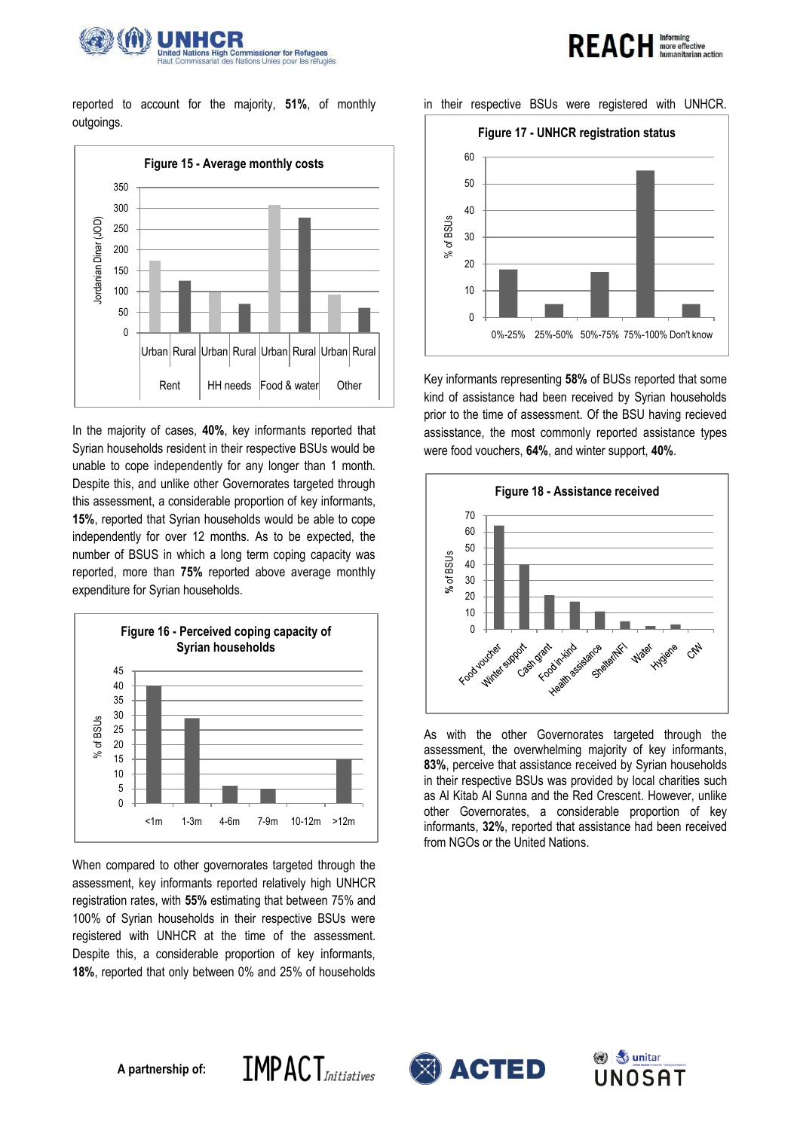

reported to account for the majority, **51%**, of monthly outgoings.



In the majority of cases, **40%**, key informants reported that Syrian households resident in their respective BSUs would be unable to cope independently for any longer than 1 month. Despite this, and unlike other Governorates targeted through this assessment, a considerable proportion of key informants, **15%**, reported that Syrian households would be able to cope independently for over 12 months. As to be expected, the number of BSUS in which a long term coping capacity was reported, more than **75%** reported above average monthly expenditure for Syrian households.



When compared to other governorates targeted through the assessment, key informants reported relatively high UNHCR registration rates, with **55%** estimating that between 75% and 100% of Syrian households in their respective BSUs were registered with UNHCR at the time of the assessment. Despite this, a considerable proportion of key informants, **18%**, reported that only between 0% and 25% of households

**IMPACT**Initiatives

#### in their respective BSUs were registered with UNHCR.

**REACH Informing** 

anitarian action



Key informants representing **58%** of BUSs reported that some kind of assistance had been received by Syrian households prior to the time of assessment. Of the BSU having recieved assisstance, the most commonly reported assistance types were food vouchers, **64%**, and winter support, **40%**.



As with the other Governorates targeted through the assessment, the overwhelming majority of key informants, **83%**, perceive that assistance received by Syrian households in their respective BSUs was provided by local charities such as Al Kitab Al Sunna and the Red Crescent. However, unlike other Governorates, a considerable proportion of key informants, **32%**, reported that assistance had been received from NGOs or the United Nations.